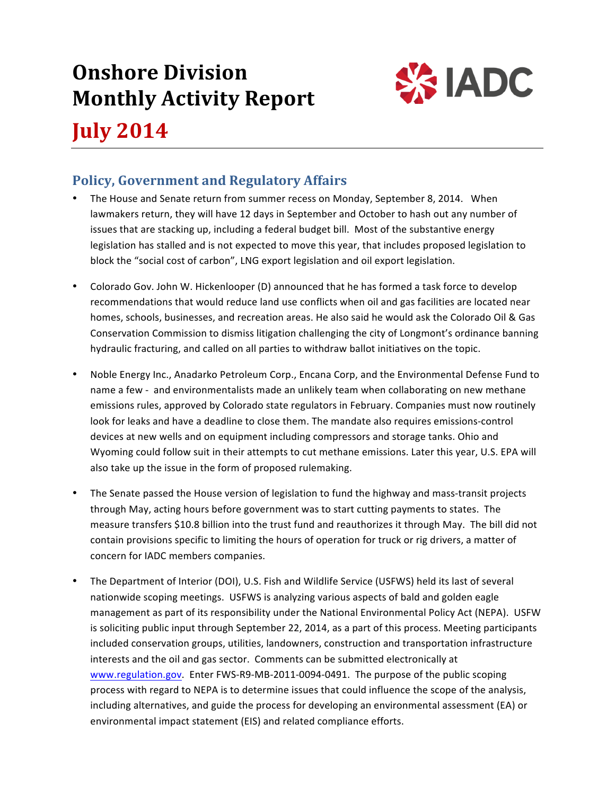# **Onshore Division Monthly Activity Report**



**July 2014**

# **Policy, Government and Regulatory Affairs**

- The House and Senate return from summer recess on Monday, September 8, 2014. When lawmakers return, they will have 12 days in September and October to hash out any number of issues that are stacking up, including a federal budget bill. Most of the substantive energy legislation has stalled and is not expected to move this year, that includes proposed legislation to block the "social cost of carbon", LNG export legislation and oil export legislation.
- Colorado Gov. John W. Hickenlooper (D) announced that he has formed a task force to develop recommendations that would reduce land use conflicts when oil and gas facilities are located near homes, schools, businesses, and recreation areas. He also said he would ask the Colorado Oil & Gas Conservation Commission to dismiss litigation challenging the city of Longmont's ordinance banning hydraulic fracturing, and called on all parties to withdraw ballot initiatives on the topic.
- Noble Energy Inc., Anadarko Petroleum Corp., Encana Corp, and the Environmental Defense Fund to name a few - and environmentalists made an unlikely team when collaborating on new methane emissions rules, approved by Colorado state regulators in February. Companies must now routinely look for leaks and have a deadline to close them. The mandate also requires emissions-control devices at new wells and on equipment including compressors and storage tanks. Ohio and Wyoming could follow suit in their attempts to cut methane emissions. Later this year, U.S. EPA will also take up the issue in the form of proposed rulemaking.
- The Senate passed the House version of legislation to fund the highway and mass-transit projects through May, acting hours before government was to start cutting payments to states. The measure transfers \$10.8 billion into the trust fund and reauthorizes it through May. The bill did not contain provisions specific to limiting the hours of operation for truck or rig drivers, a matter of concern for IADC members companies.
- The Department of Interior (DOI), U.S. Fish and Wildlife Service (USFWS) held its last of several nationwide scoping meetings. USFWS is analyzing various aspects of bald and golden eagle management as part of its responsibility under the National Environmental Policy Act (NEPA). USFW is soliciting public input through September 22, 2014, as a part of this process. Meeting participants included conservation groups, utilities, landowners, construction and transportation infrastructure interests and the oil and gas sector. Comments can be submitted electronically at www.regulation.gov. Enter FWS-R9-MB-2011-0094-0491. The purpose of the public scoping process with regard to NEPA is to determine issues that could influence the scope of the analysis, including alternatives, and guide the process for developing an environmental assessment (EA) or environmental impact statement (EIS) and related compliance efforts.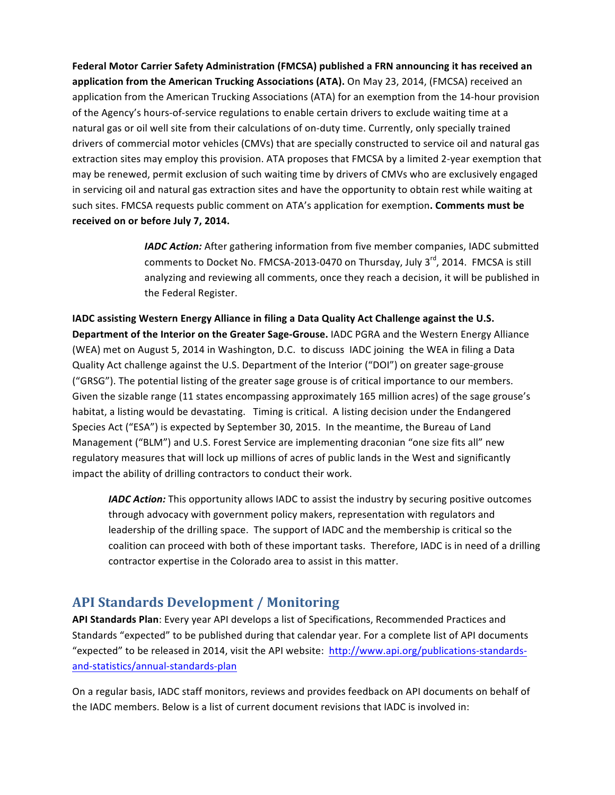Federal Motor Carrier Safety Administration (FMCSA) published a FRN announcing it has received an application from the American Trucking Associations (ATA). On May 23, 2014, (FMCSA) received an application from the American Trucking Associations (ATA) for an exemption from the 14-hour provision of the Agency's hours-of-service regulations to enable certain drivers to exclude waiting time at a natural gas or oil well site from their calculations of on-duty time. Currently, only specially trained drivers of commercial motor vehicles (CMVs) that are specially constructed to service oil and natural gas extraction sites may employ this provision. ATA proposes that FMCSA by a limited 2-year exemption that may be renewed, permit exclusion of such waiting time by drivers of CMVs who are exclusively engaged in servicing oil and natural gas extraction sites and have the opportunity to obtain rest while waiting at such sites. FMCSA requests public comment on ATA's application for exemption. **Comments must be** received on or before July 7, 2014.

> *IADC Action:* After gathering information from five member companies, IADC submitted comments to Docket No. FMCSA-2013-0470 on Thursday, July  $3^{rd}$ , 2014. FMCSA is still analyzing and reviewing all comments, once they reach a decision, it will be published in the Federal Register.

IADC assisting Western Energy Alliance in filing a Data Quality Act Challenge against the U.S. Department of the Interior on the Greater Sage-Grouse. IADC PGRA and the Western Energy Alliance (WEA) met on August 5, 2014 in Washington, D.C. to discuss IADC joining the WEA in filing a Data Quality Act challenge against the U.S. Department of the Interior ("DOI") on greater sage-grouse ("GRSG"). The potential listing of the greater sage grouse is of critical importance to our members. Given the sizable range (11 states encompassing approximately 165 million acres) of the sage grouse's habitat, a listing would be devastating. Timing is critical. A listing decision under the Endangered Species Act ("ESA") is expected by September 30, 2015. In the meantime, the Bureau of Land Management ("BLM") and U.S. Forest Service are implementing draconian "one size fits all" new regulatory measures that will lock up millions of acres of public lands in the West and significantly impact the ability of drilling contractors to conduct their work.

*IADC Action:* This opportunity allows IADC to assist the industry by securing positive outcomes through advocacy with government policy makers, representation with regulators and leadership of the drilling space. The support of IADC and the membership is critical so the coalition can proceed with both of these important tasks. Therefore, IADC is in need of a drilling contractor expertise in the Colorado area to assist in this matter.

## **API Standards Development / Monitoring**

API Standards Plan: Every year API develops a list of Specifications, Recommended Practices and Standards "expected" to be published during that calendar year. For a complete list of API documents "expected" to be released in 2014, visit the API website: http://www.api.org/publications-standardsand-statistics/annual-standards-plan

On a regular basis, IADC staff monitors, reviews and provides feedback on API documents on behalf of the IADC members. Below is a list of current document revisions that IADC is involved in: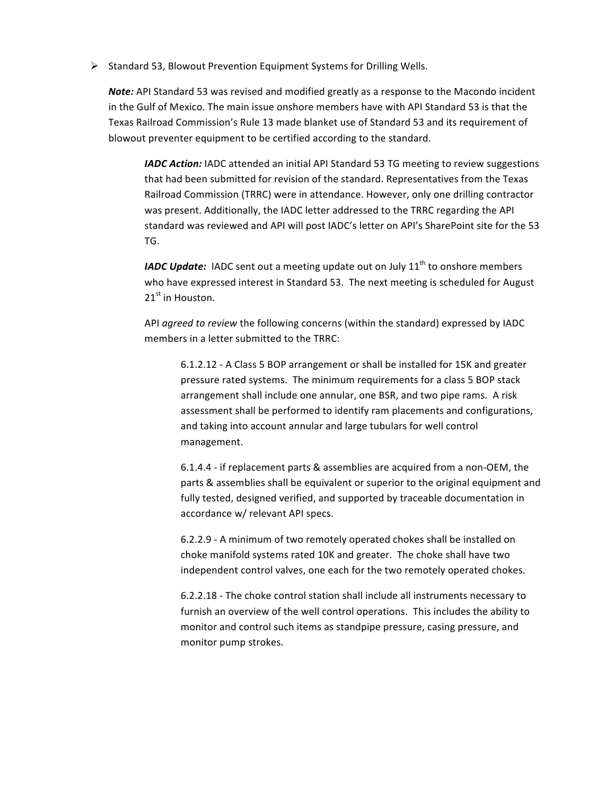$\triangleright$  Standard 53, Blowout Prevention Equipment Systems for Drilling Wells.

**Note:** API Standard 53 was revised and modified greatly as a response to the Macondo incident in the Gulf of Mexico. The main issue onshore members have with API Standard 53 is that the Texas Railroad Commission's Rule 13 made blanket use of Standard 53 and its requirement of blowout preventer equipment to be certified according to the standard.

*IADC Action:* IADC attended an initial API Standard 53 TG meeting to review suggestions that had been submitted for revision of the standard. Representatives from the Texas Railroad Commission (TRRC) were in attendance. However, only one drilling contractor was present. Additionally, the IADC letter addressed to the TRRC regarding the API standard was reviewed and API will post IADC's letter on API's SharePoint site for the 53 TG. 

*IADC Update:* IADC sent out a meeting update out on July 11<sup>th</sup> to onshore members who have expressed interest in Standard 53. The next meeting is scheduled for August 21<sup>st</sup> in Houston.

API *agreed to review* the following concerns (within the standard) expressed by IADC members in a letter submitted to the TRRC:

6.1.2.12 - A Class 5 BOP arrangement or shall be installed for 15K and greater pressure rated systems. The minimum requirements for a class 5 BOP stack arrangement shall include one annular, one BSR, and two pipe rams. A risk assessment shall be performed to identify ram placements and configurations, and taking into account annular and large tubulars for well control management.

6.1.4.4 - if replacement parts & assemblies are acquired from a non-OEM, the parts & assemblies shall be equivalent or superior to the original equipment and fully tested, designed verified, and supported by traceable documentation in accordance w/ relevant API specs.

6.2.2.9 - A minimum of two remotely operated chokes shall be installed on choke manifold systems rated 10K and greater. The choke shall have two independent control valves, one each for the two remotely operated chokes.

6.2.2.18 - The choke control station shall include all instruments necessary to furnish an overview of the well control operations. This includes the ability to monitor and control such items as standpipe pressure, casing pressure, and monitor pump strokes.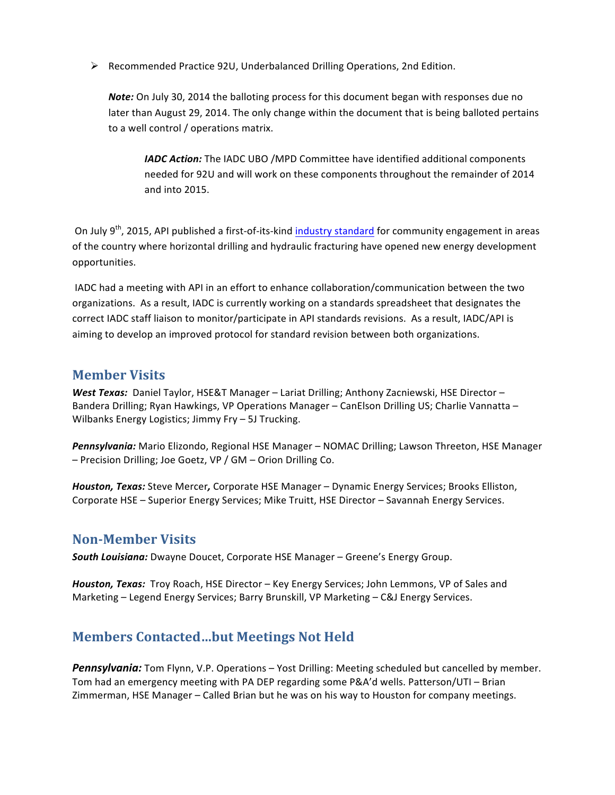Ø Recommended Practice 92U, Underbalanced Drilling Operations, 2nd Edition.

**Note:** On July 30, 2014 the balloting process for this document began with responses due no later than August 29, 2014. The only change within the document that is being balloted pertains to a well control / operations matrix.

*IADC Action:* The IADC UBO /MPD Committee have identified additional components needed for 92U and will work on these components throughout the remainder of 2014 and into 2015.

On July 9<sup>th</sup>, 2015, API published a first-of-its-kind industry standard for community engagement in areas of the country where horizontal drilling and hydraulic fracturing have opened new energy development opportunities. 

IADC had a meeting with API in an effort to enhance collaboration/communication between the two organizations. As a result, IADC is currently working on a standards spreadsheet that designates the correct IADC staff liaison to monitor/participate in API standards revisions. As a result, IADC/API is aiming to develop an improved protocol for standard revision between both organizations.

#### **Member Visits**

West Texas: Daniel Taylor, HSE&T Manager - Lariat Drilling; Anthony Zacniewski, HSE Director -Bandera Drilling; Ryan Hawkings, VP Operations Manager – CanElson Drilling US; Charlie Vannatta – Wilbanks Energy Logistics; Jimmy  $Fry - 5J$  Trucking.

Pennsylvania: Mario Elizondo, Regional HSE Manager - NOMAC Drilling; Lawson Threeton, HSE Manager – Precision Drilling; Joe Goetz, VP / GM – Orion Drilling Co.

Houston, Texas: Steve Mercer, Corporate HSE Manager – Dynamic Energy Services; Brooks Elliston, Corporate HSE - Superior Energy Services; Mike Truitt, HSE Director - Savannah Energy Services.

## **Non-Member Visits**

**South Louisiana:** Dwayne Doucet, Corporate HSE Manager – Greene's Energy Group.

Houston, Texas: Troy Roach, HSE Director – Key Energy Services; John Lemmons, VP of Sales and Marketing - Legend Energy Services; Barry Brunskill, VP Marketing - C&J Energy Services.

# **Members Contacted...but Meetings Not Held**

**Pennsylvania:** Tom Flynn, V.P. Operations – Yost Drilling: Meeting scheduled but cancelled by member. Tom had an emergency meeting with PA DEP regarding some P&A'd wells. Patterson/UTI – Brian Zimmerman, HSE Manager – Called Brian but he was on his way to Houston for company meetings.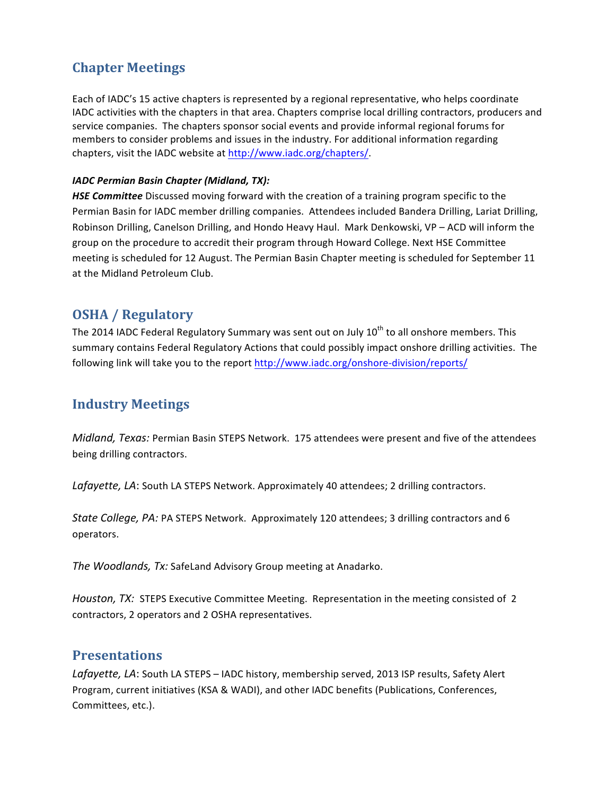# **Chapter Meetings**

Each of IADC's 15 active chapters is represented by a regional representative, who helps coordinate IADC activities with the chapters in that area. Chapters comprise local drilling contractors, producers and service companies. The chapters sponsor social events and provide informal regional forums for members to consider problems and issues in the industry. For additional information regarding chapters, visit the IADC website at http://www.iadc.org/chapters/.

#### *IADC Permian Basin Chapter (Midland, TX):*

**HSE Committee** Discussed moving forward with the creation of a training program specific to the Permian Basin for IADC member drilling companies. Attendees included Bandera Drilling, Lariat Drilling, Robinson Drilling, Canelson Drilling, and Hondo Heavy Haul. Mark Denkowski, VP - ACD will inform the group on the procedure to accredit their program through Howard College. Next HSE Committee meeting is scheduled for 12 August. The Permian Basin Chapter meeting is scheduled for September 11 at the Midland Petroleum Club.

# **OSHA** / **Regulatory**

The 2014 IADC Federal Regulatory Summary was sent out on July  $10^{th}$  to all onshore members. This summary contains Federal Regulatory Actions that could possibly impact onshore drilling activities. The following link will take you to the report http://www.iadc.org/onshore-division/reports/

# **Industry Meetings**

*Midland, Texas:* Permian Basin STEPS Network. 175 attendees were present and five of the attendees being drilling contractors.

Lafayette, LA: South LA STEPS Network. Approximately 40 attendees; 2 drilling contractors.

*State College, PA:* PA STEPS Network. Approximately 120 attendees; 3 drilling contractors and 6 operators.

The Woodlands, Tx: SafeLand Advisory Group meeting at Anadarko.

*Houston, TX:* STEPS Executive Committee Meeting. Representation in the meeting consisted of 2 contractors, 2 operators and 2 OSHA representatives.

## **Presentations**

Lafayette, LA: South LA STEPS - IADC history, membership served, 2013 ISP results, Safety Alert Program, current initiatives (KSA & WADI), and other IADC benefits (Publications, Conferences, Committees, etc.).